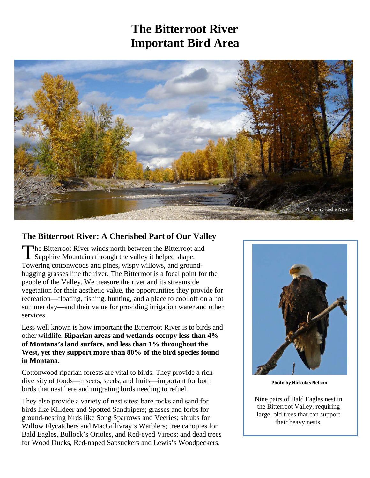## **The Bitterroot River Important Bird Area**



#### **The Bitterroot River: A Cherished Part of Our Valley**

he Bitterroot River winds north between the Bitterroot and The Bitterroot River winds north between the Bitterroot a<br>Sapphire Mountains through the valley it helped shape. Towering cottonwoods and pines, wispy willows, and groundhugging grasses line the river. The Bitterroot is a focal point for the people of the Valley. We treasure the river and its streamside vegetation for their aesthetic value, the opportunities they provide for recreation—floating, fishing, hunting, and a place to cool off on a hot summer day—and their value for providing irrigation water and other services.

Less well known is how important the Bitterroot River is to birds and other wildlife. **Riparian areas and wetlands occupy less than 4% of Montana's land surface, and less than 1% throughout the West, yet they support more than 80% of the bird species found in Montana.** 

Cottonwood riparian forests are vital to birds. They provide a rich diversity of foods—insects, seeds, and fruits—important for both birds that nest here and migrating birds needing to refuel.

They also provide a variety of nest sites: bare rocks and sand for birds like Killdeer and Spotted Sandpipers; grasses and forbs for ground-nesting birds like Song Sparrows and Veeries; shrubs for Willow Flycatchers and MacGillivray's Warblers; tree canopies for Bald Eagles, Bullock's Orioles, and Red-eyed Vireos; and dead trees for Wood Ducks, Red-naped Sapsuckers and Lewis's Woodpeckers.



**Photo by Nickolas Nelson**

Nine pairs of Bald Eagles nest in the Bitterroot Valley, requiring large, old trees that can support their heavy nests.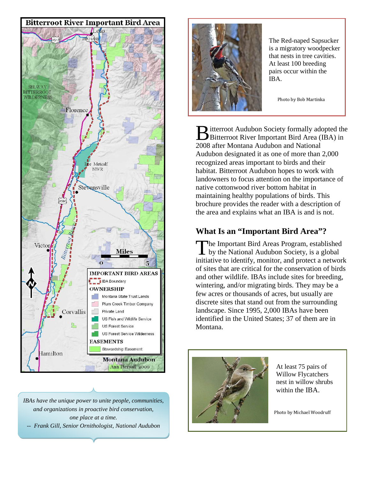

*IBAs have the unique power to unite people, communities, and organizations in proactive bird conservation, one place at a time. -- Frank Gill, Senior Ornithologist, National Audubon*



The Red-naped Sapsucker is a migratory woodpecker that nests in tree cavities. At least 100 breeding pairs occur within the IBA.

Photo by Bob Martinka

**I** itterroot Audubon Society formally adopted the Bitterroot Audubon Society formally adopted the<br>Bitterroot River Important Bird Area (IBA) in 2008 after Montana Audubon and National Audubon designated it as one of more than 2,000 recognized areas important to birds and their habitat. Bitterroot Audubon hopes to work with landowners to focus attention on the importance of native cottonwood river bottom habitat in maintaining healthy populations of birds. This brochure provides the reader with a description of the area and explains what an IBA is and is not.

#### **What Is an "Important Bird Area"?**

**The Important Bird Areas Program, established** The Important Bird Areas Program, established<br>by the National Audubon Society, is a global initiative to identify, monitor, and protect a network of sites that are critical for the conservation of birds and other wildlife. IBAs include sites for breeding, wintering, and/or migrating birds. They may be a few acres or thousands of acres, but usually are discrete sites that stand out from the surrounding landscape. Since 1995, 2,000 IBAs have been identified in the United States; 37 of them are in Montana.



At least 75 pairs of Willow Flycatchers nest in willow shrubs within the IBA.

Photo by Michael Woodruff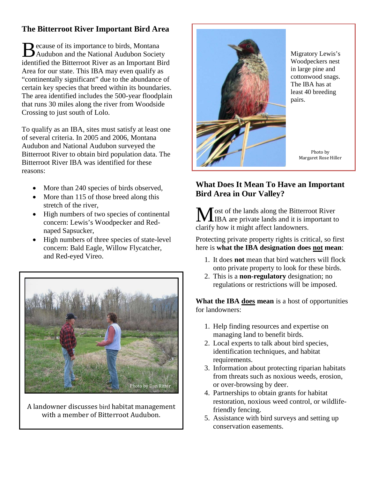### **The Bitterroot River Important Bird Area**

ecause of its importance to birds, Montana Because of its importance to birds, Montana<br>Audubon and the National Audubon Society identified the Bitterroot River as an Important Bird Area for our state. This IBA may even qualify as "continentally significant" due to the abundance of certain key species that breed within its boundaries. The area identified includes the 500-year floodplain that runs 30 miles along the river from Woodside Crossing to just south of Lolo.

To qualify as an IBA, sites must satisfy at least one of several criteria. In 2005 and 2006, Montana Audubon and National Audubon surveyed the Bitterroot River to obtain bird population data. The Bitterroot River IBA was identified for these reasons:

- More than 240 species of birds observed,
- More than 115 of those breed along this stretch of the river,
- High numbers of two species of continental concern: Lewis's Woodpecker and Rednaped Sapsucker,
- High numbers of three species of state-level concern: Bald Eagle, Willow Flycatcher, and Red-eyed Vireo.



A landowner discusses bird habitat management with a member of Bitterroot Audubon.



Migratory Lewis's Woodpeckers nest in large pine and cottonwood snags. The IBA has at least 40 breeding pairs.

> Photo by Margaret Rose Hiller

### **What Does It Mean To Have an Important Bird Area in Our Valley?**

ost of the lands along the Bitterroot River IBA are private lands and it is important to clarify how it might affect landowners. M

Protecting private property rights is critical, so first here is **what the IBA designation does not mean**:

- 1. It does **not** mean that bird watchers will flock onto private property to look for these birds.
- 2. This is a **non-regulatory** designation; no regulations or restrictions will be imposed.

**What the IBA does mean** is a host of opportunities for landowners:

- 1. Help finding resources and expertise on managing land to benefit birds.
- 2. Local experts to talk about bird species, identification techniques, and habitat requirements.
- 3. Information about protecting riparian habitats from threats such as noxious weeds, erosion, or over-browsing by deer.
- 4. Partnerships to obtain grants for habitat restoration, noxious weed control, or wildlifefriendly fencing.
- 5. Assistance with bird surveys and setting up conservation easements.